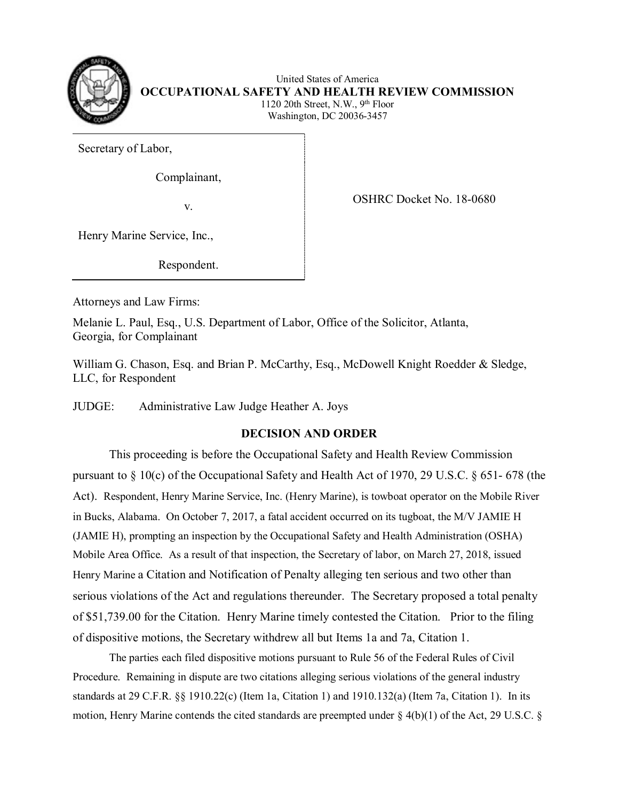

 1120 20th Street, N.W., 9th Floor United States of America **OCCUPATIONAL SAFETY AND HEALTH REVIEW COMMISSION**  Washington, DC 20036-3457

Secretary of Labor,

Complainant,

v.

OSHRC Docket No. 18-0680

Henry Marine Service, Inc.,

Respondent.

Attorneys and Law Firms:

Melanie L. Paul, Esq., U.S. Department of Labor, Office of the Solicitor, Atlanta, Georgia, for Complainant

William G. Chason, Esq. and Brian P. McCarthy, Esq., McDowell Knight Roedder & Sledge, LLC, for Respondent

JUDGE: Administrative Law Judge Heather A. Joys

# **DECISION AND ORDER**

 This proceeding is before the Occupational Safety and Health Review Commission pursuant to § 10(c) of the Occupational Safety and Health Act of 1970, 29 U.S.C. § 651- 678 (the Act). Respondent, Henry Marine Service, Inc. (Henry Marine), is towboat operator on the Mobile River in Bucks, Alabama. On October 7, 2017, a fatal accident occurred on its tugboat, the M/V JAMIE H Henry Marine a Citation and Notification of Penalty alleging ten serious and two other than serious violations of the Act and regulations thereunder. The Secretary proposed a total penalty of \$51,739.00 for the Citation. Henry Marine timely contested the Citation. Prior to the filing (JAMIE H), prompting an inspection by the Occupational Safety and Health Administration (OSHA) Mobile Area Office. As a result of that inspection, the Secretary of labor, on March 27, 2018, issued of dispositive motions, the Secretary withdrew all but Items 1a and 7a, Citation 1.

 Procedure. Remaining in dispute are two citations alleging serious violations of the general industry The parties each filed dispositive motions pursuant to Rule 56 of the Federal Rules of Civil standards at 29 C.F.R.  $\S$  1910.22(c) (Item 1a, Citation 1) and 1910.132(a) (Item 7a, Citation 1). In its motion, Henry Marine contends the cited standards are preempted under  $\S$  4(b)(1) of the Act, 29 U.S.C.  $\S$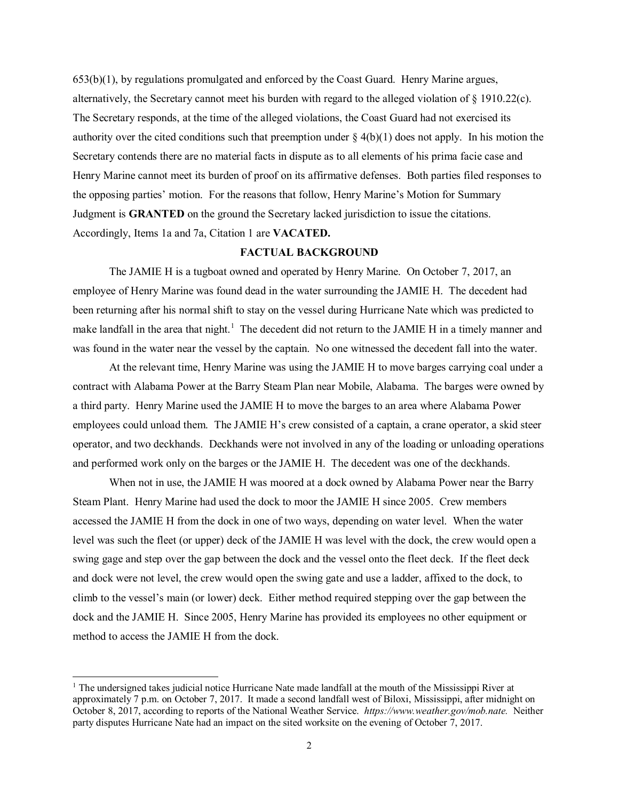alternatively, the Secretary cannot meet his burden with regard to the alleged violation of § 1910.22(c). authority over the cited conditions such that preemption under  $\S 4(b)(1)$  does not apply. In his motion the Henry Marine cannot meet its burden of proof on its affirmative defenses. Both parties filed responses to Judgment is **GRANTED** on the ground the Secretary lacked jurisdiction to issue the citations. Accordingly, Items 1a and 7a, Citation 1 are **VACATED.**  Accordingly, Items 1a and 7a, Citation 1 are VACATED. 653(b)(1), by regulations promulgated and enforced by the Coast Guard. Henry Marine argues, The Secretary responds, at the time of the alleged violations, the Coast Guard had not exercised its Secretary contends there are no material facts in dispute as to all elements of his prima facie case and the opposing parties' motion. For the reasons that follow, Henry Marine's Motion for Summary

# **FACTUAL BACKGROUND**

 The JAMIE H is a tugboat owned and operated by Henry Marine. On October 7, 2017, an employee of Henry Marine was found dead in the water surrounding the JAMIE H. The decedent had make landfall in the area that night.<sup>1</sup> The decedent did not return to the JAMIE H in a timely manner and was found in the water near the vessel by the captain. No one witnessed the decedent fall into the water. been returning after his normal shift to stay on the vessel during Hurricane Nate which was predicted to

 contract with Alabama Power at the Barry Steam Plan near Mobile, Alabama. The barges were owned by and performed work only on the barges or the JAMIE H. The decedent was one of the deckhands. At the relevant time, Henry Marine was using the JAMIE H to move barges carrying coal under a a third party. Henry Marine used the JAMIE H to move the barges to an area where Alabama Power employees could unload them. The JAMIE H's crew consisted of a captain, a crane operator, a skid steer operator, and two deckhands. Deckhands were not involved in any of the loading or unloading operations

 Steam Plant. Henry Marine had used the dock to moor the JAMIE H since 2005. Crew members accessed the JAMIE H from the dock in one of two ways, depending on water level. When the water level was such the fleet (or upper) deck of the JAMIE H was level with the dock, the crew would open a swing gage and step over the gap between the dock and the vessel onto the fleet deck. If the fleet deck dock and the JAMIE H. Since 2005, Henry Marine has provided its employees no other equipment or When not in use, the JAMIE H was moored at a dock owned by Alabama Power near the Barry and dock were not level, the crew would open the swing gate and use a ladder, affixed to the dock, to climb to the vessel's main (or lower) deck. Either method required stepping over the gap between the method to access the JAMIE H from the dock.

 $\overline{a}$ 

<span id="page-1-0"></span><sup>&</sup>lt;sup>1</sup> The undersigned takes judicial notice Hurricane Nate made landfall at the mouth of the Mississippi River at October 8, 2017, according to reports of the National Weather Service. *https://www.weather.gov/mob.nate.* Neither approximately 7 p.m. on October 7, 2017. It made a second landfall west of Biloxi, Mississippi, after midnight on party disputes Hurricane Nate had an impact on the sited worksite on the evening of October 7, 2017.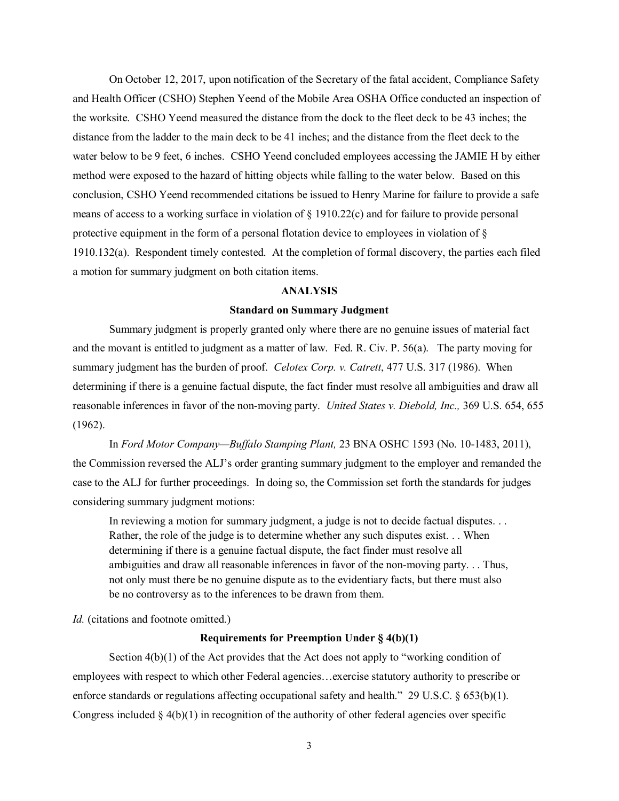distance from the ladder to the main deck to be 41 inches; and the distance from the fleet deck to the water below to be 9 feet, 6 inches. CSHO Yeend concluded employees accessing the JAMIE H by either On October 12, 2017, upon notification of the Secretary of the fatal accident, Compliance Safety and Health Officer (CSHO) Stephen Yeend of the Mobile Area OSHA Office conducted an inspection of the worksite. CSHO Yeend measured the distance from the dock to the fleet deck to be 43 inches; the method were exposed to the hazard of hitting objects while falling to the water below. Based on this conclusion, CSHO Yeend recommended citations be issued to Henry Marine for failure to provide a safe means of access to a working surface in violation of § 1910.22(c) and for failure to provide personal protective equipment in the form of a personal flotation device to employees in violation of § 1910.132(a). Respondent timely contested. At the completion of formal discovery, the parties each filed a motion for summary judgment on both citation items.

#### **ANALYSIS**

#### **Standard on Summary Judgment**

 Summary judgment is properly granted only where there are no genuine issues of material fact summary judgment has the burden of proof. *Celotex Corp. v. Catrett*, 477 U.S. 317 (1986). When determining if there is a genuine factual dispute, the fact finder must resolve all ambiguities and draw all reasonable inferences in favor of the non-moving party. *United States v. Diebold, Inc.,* 369 U.S. 654, 655  $(1962)$ . and the movant is entitled to judgment as a matter of law. Fed. R. Civ. P. 56(a). The party moving for

 (1962). In *Ford Motor Company—Buffalo Stamping Plant,* 23 BNA OSHC 1593 (No. 10-1483, 2011), the Commission reversed the ALJ's order granting summary judgment to the employer and remanded the case to the ALJ for further proceedings. In doing so, the Commission set forth the standards for judges considering summary judgment motions:

 In reviewing a motion for summary judgment, a judge is not to decide factual disputes. . . Rather, the role of the judge is to determine whether any such disputes exist. . . When ambiguities and draw all reasonable inferences in favor of the non-moving party. . . Thus, not only must there be no genuine dispute as to the evidentiary facts, but there must also determining if there is a genuine factual dispute, the fact finder must resolve all be no controversy as to the inferences to be drawn from them.

*Id.* (citations and footnote omitted.)

## **Requirements for Preemption Under § 4(b)(1)**

 Section 4(b)(1) of the Act provides that the Act does not apply to "working condition of enforce standards or regulations affecting occupational safety and health." 29 U.S.C. § 653(b)(1). employees with respect to which other Federal agencies…exercise statutory authority to prescribe or Congress included  $\S 4(b)(1)$  in recognition of the authority of other federal agencies over specific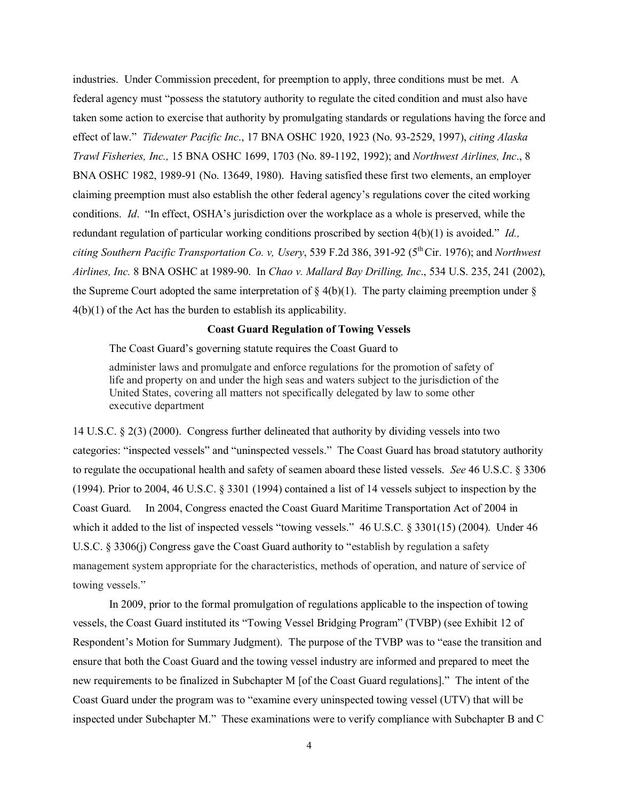industries. Under Commission precedent, for preemption to apply, three conditions must be met. A effect of law." *Tidewater Pacific Inc*., 17 BNA OSHC 1920, 1923 (No. 93-2529, 1997), *citing Alaska Trawl Fisheries, Inc.,* 15 BNA OSHC 1699, 1703 (No. 89-1192, 1992); and *Northwest Airlines, Inc*., 8 conditions. *Id*. "In effect, OSHA's jurisdiction over the workplace as a whole is preserved, while the redundant regulation of particular working conditions proscribed by section 4(b)(1) is avoided." *Id., Airlines, Inc.* 8 BNA OSHC at 1989-90. In *Chao v. Mallard Bay Drilling, Inc*., 534 U.S. 235, 241 (2002), the Supreme Court adopted the same interpretation of  $\S$  4(b)(1). The party claiming preemption under  $\S$  $4(b)(1)$  of the Act has the burden to establish its applicability. federal agency must "possess the statutory authority to regulate the cited condition and must also have taken some action to exercise that authority by promulgating standards or regulations having the force and BNA OSHC 1982, 1989-91 (No. 13649, 1980). Having satisfied these first two elements, an employer claiming preemption must also establish the other federal agency's regulations cover the cited working *citing Southern Pacific Transportation Co. v, Usery*, 539 F.2d 386, 391-92 (5th Cir. 1976); and *Northwest* 

#### **Coast Guard Regulation of Towing Vessels**

The Coast Guard's governing statute requires the Coast Guard to

 United States, covering all matters not specifically delegated by law to some other administer laws and promulgate and enforce regulations for the promotion of safety of life and property on and under the high seas and waters subject to the jurisdiction of the executive department

 14 U.S.C. § 2(3) (2000). Congress further delineated that authority by dividing vessels into two categories: "inspected vessels" and "uninspected vessels." The Coast Guard has broad statutory authority to regulate the occupational health and safety of seamen aboard these listed vessels. *See* 46 U.S.C. § 3306 Coast Guard. which it added to the list of inspected vessels "towing vessels." 46 U.S.C. § 3301(15) (2004). Under 46 management system appropriate for the characteristics, methods of operation, and nature of service of (1994). Prior to 2004, 46 U.S.C. § 3301 (1994) contained a list of 14 vessels subject to inspection by the In 2004, Congress enacted the Coast Guard Maritime Transportation Act of 2004 in U.S.C. § 3306(j) Congress gave the Coast Guard authority to "establish by regulation a safety towing vessels."

 new requirements to be finalized in Subchapter M [of the Coast Guard regulations]." The intent of the Coast Guard under the program was to "examine every uninspected towing vessel (UTV) that will be inspected under Subchapter M." These examinations were to verify compliance with Subchapter B and C In 2009, prior to the formal promulgation of regulations applicable to the inspection of towing vessels, the Coast Guard instituted its "Towing Vessel Bridging Program" (TVBP) (see Exhibit 12 of Respondent's Motion for Summary Judgment). The purpose of the TVBP was to "ease the transition and ensure that both the Coast Guard and the towing vessel industry are informed and prepared to meet the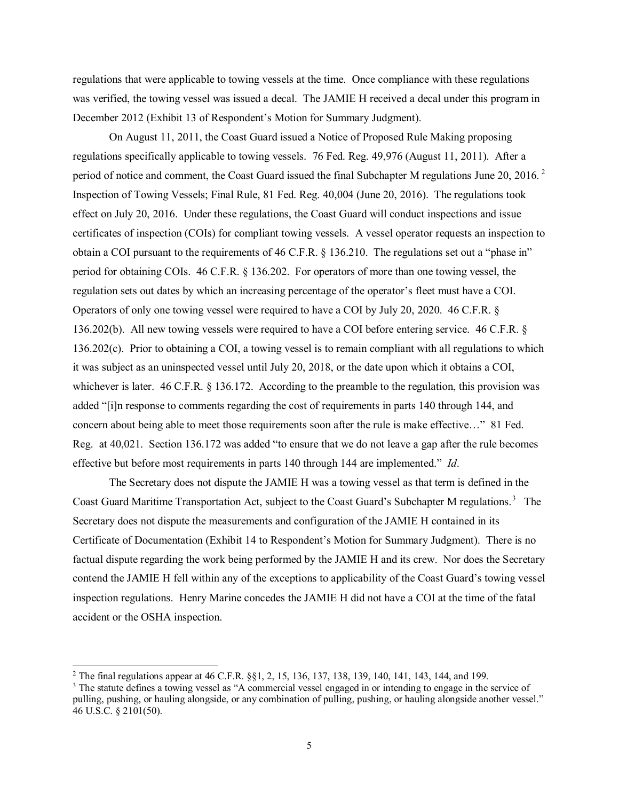was verified, the towing vessel was issued a decal. The JAMIE H received a decal under this program in regulations that were applicable to towing vessels at the time. Once compliance with these regulations December 2012 (Exhibit 13 of Respondent's Motion for Summary Judgment).

 regulations specifically applicable to towing vessels. 76 Fed. Reg. 49,976 (August 11, 2011). After a period of notice and comment, the Coast Guard issued the final Subchapter M regulations June [2](#page-4-0)0, 2016.<sup>2</sup> Inspection of Towing Vessels; Final Rule, 81 Fed. Reg. 40,004 (June 20, 2016). The regulations took effect on July 20, 2016. Under these regulations, the Coast Guard will conduct inspections and issue obtain a COI pursuant to the requirements of 46 C.F.R. § 136.210. The regulations set out a "phase in" period for obtaining COIs. 46 C.F.R. § 136.202. For operators of more than one towing vessel, the regulation sets out dates by which an increasing percentage of the operator's fleet must have a COI.<br>Operators of only one towing vessel were required to have a COI by July 20, 2020. 46 C.F.R. § Operators of only one towing vessel were required to have a COI by July 20, 2020. 46 C.F.R. § 136.202(b). All new towing vessels were required to have a COI before entering service. 46 C.F.R. § it was subject as an uninspected vessel until July 20, 2018, or the date upon which it obtains a COI, concern about being able to meet those requirements soon after the rule is make effective…" 81 Fed. Reg. at 40,021. Section 136.172 was added "to ensure that we do not leave a gap after the rule becomes effective but before most requirements in parts 140 through 144 are implemented." *Id*. On August 11, 2011, the Coast Guard issued a Notice of Proposed Rule Making proposing certificates of inspection (COIs) for compliant towing vessels. A vessel operator requests an inspection to 136.202(c). Prior to obtaining a COI, a towing vessel is to remain compliant with all regulations to which whichever is later. 46 C.F.R. § 136.172. According to the preamble to the regulation, this provision was added "[i]n response to comments regarding the cost of requirements in parts 140 through 144, and

 The Secretary does not dispute the JAMIE H was a towing vessel as that term is defined in the Coast Guard Maritime Transportation Act, subject to the Coast Guard's Subchapter M regulations.<sup>[3](#page-4-1)</sup> The Secretary does not dispute the measurements and configuration of the JAMIE H contained in its Certificate of Documentation (Exhibit 14 to Respondent's Motion for Summary Judgment). There is no contend the JAMIE H fell within any of the exceptions to applicability of the Coast Guard's towing vessel inspection regulations. Henry Marine concedes the JAMIE H did not have a COI at the time of the fatal factual dispute regarding the work being performed by the JAMIE H and its crew. Nor does the Secretary accident or the OSHA inspection.

 $\overline{a}$ 

<span id="page-4-0"></span><sup>&</sup>lt;sup>2</sup> The final regulations appear at 46 C.F.R.  $\S$ 1, 2, 15, 136, 137, 138, 139, 140, 141, 143, 144, and 199.

<span id="page-4-1"></span> $3$  The statute defines a towing vessel as "A commercial vessel engaged in or intending to engage in the service of pulling, pushing, or hauling alongside, or any combination of pulling, pushing, or hauling alongside another vessel." 46 U.S.C. § 2101(50).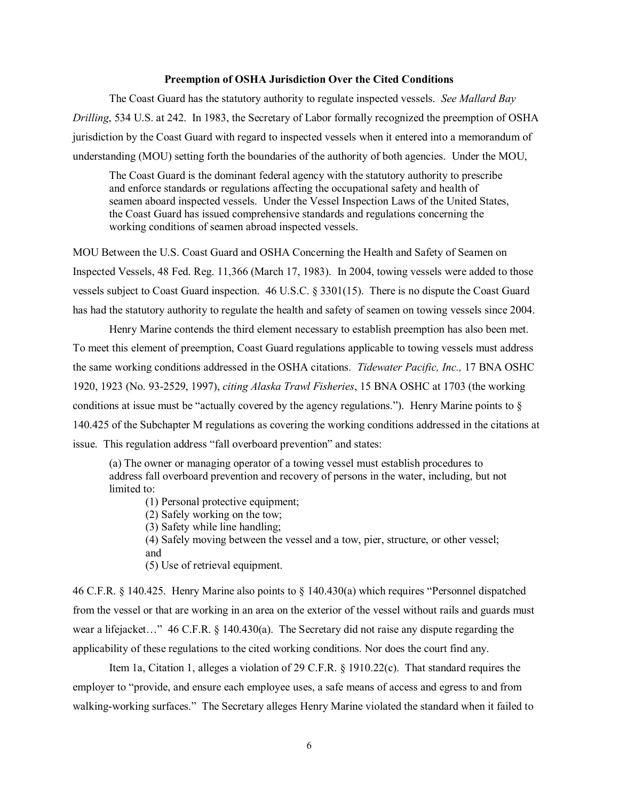### **Preemption of OSHA Jurisdiction Over the Cited Conditions**

 The Coast Guard has the statutory authority to regulate inspected vessels. *See Mallard Bay Drilling*, 534 U.S. at 242. In 1983, the Secretary of Labor formally recognized the preemption of OSHA jurisdiction by the Coast Guard with regard to inspected vessels when it entered into a memorandum of understanding (MOU) setting forth the boundaries of the authority of both agencies. Under the MOU,

The Coast Guard is the dominant federal agency with the statutory authority to prescribe and enforce standards or regulations affecting the occupational safety and health of seamen aboard inspected vessels. Under the Vessel Inspection Laws of the United States, the Coast Guard has issued comprehensive standards and regulations concerning the working conditions of seamen abroad inspected vessels.

 MOU Between the U.S. Coast Guard and OSHA Concerning the Health and Safety of Seamen on vessels subject to Coast Guard inspection. 46 U.S.C. § 3301(15). There is no dispute the Coast Guard Inspected Vessels, 48 Fed. Reg. 11,366 (March 17, 1983). In 2004, towing vessels were added to those has had the statutory authority to regulate the health and safety of seamen on towing vessels since 2004.

Henry Marine contends the third element necessary to establish preemption has also been met. the same working conditions addressed in the OSHA citations. *Tidewater Pacific, Inc.,* 17 BNA OSHC issue. This regulation address "fall overboard prevention" and states: To meet this element of preemption, Coast Guard regulations applicable to towing vessels must address 1920, 1923 (No. 93-2529, 1997), *citing Alaska Trawl Fisheries*, 15 BNA OSHC at 1703 (the working conditions at issue must be "actually covered by the agency regulations."). Henry Marine points to § 140.425 of the Subchapter M regulations as covering the working conditions addressed in the citations at

(a) The owner or managing operator of a towing vessel must establish procedures to address fall overboard prevention and recovery of persons in the water, including, but not limited to:

(1) Personal protective equipment;

(2) Safely working on the tow;

(3) Safety while line handling;

(4) Safely moving between the vessel and a tow, pier, structure, or other vessel; and

(5) Use of retrieval equipment.

 from the vessel or that are working in an area on the exterior of the vessel without rails and guards must wear a lifejacket…" 46 C.F.R. § 140.430(a). The Secretary did not raise any dispute regarding the applicability of these regulations to the cited working conditions. Nor does the court find any. applicability of these regulations to the cited working conditions. Nor does the court find any.<br>Item 1a, Citation 1, alleges a violation of 29 C.F.R. § 1910.22(c). That standard requires the 46 C.F.R. § 140.425. Henry Marine also points to § 140.430(a) which requires "Personnel dispatched

 employer to "provide, and ensure each employee uses, a safe means of access and egress to and from walking-working surfaces." The Secretary alleges Henry Marine violated the standard when it failed to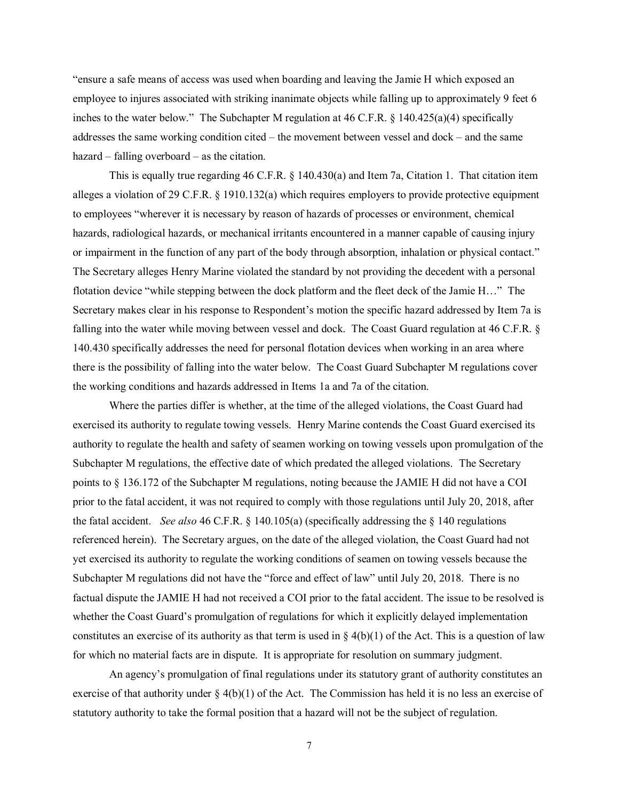"ensure a safe means of access was used when boarding and leaving the Jamie H which exposed an employee to injures associated with striking inanimate objects while falling up to approximately 9 feet 6 inches to the water below." The Subchapter M regulation at 46 C.F.R. § 140.425(a)(4) specifically addresses the same working condition cited – the movement between vessel and dock – and the same hazard – falling overboard – as the citation.

 This is equally true regarding 46 C.F.R. § 140.430(a) and Item 7a, Citation 1. That citation item alleges a violation of 29 C.F.R. § 1910.132(a) which requires employers to provide protective equipment or impairment in the function of any part of the body through absorption, inhalation or physical contact." falling into the water while moving between vessel and dock. The Coast Guard regulation at 46 C.F.R. § 140.430 specifically addresses the need for personal flotation devices when working in an area where there is the possibility of falling into the water below. The Coast Guard Subchapter M regulations cover the working conditions and hazards addressed in Items 1a and 7a of the citation. to employees "wherever it is necessary by reason of hazards of processes or environment, chemical hazards, radiological hazards, or mechanical irritants encountered in a manner capable of causing injury The Secretary alleges Henry Marine violated the standard by not providing the decedent with a personal flotation device "while stepping between the dock platform and the fleet deck of the Jamie H…" The Secretary makes clear in his response to Respondent's motion the specific hazard addressed by Item 7a is

 the fatal accident. *See also* 46 C.F.R. § 140.105(a) (specifically addressing the § 140 regulations referenced herein). The Secretary argues, on the date of the alleged violation, the Coast Guard had not Subchapter M regulations did not have the "force and effect of law" until July 20, 2018. There is no Where the parties differ is whether, at the time of the alleged violations, the Coast Guard had exercised its authority to regulate towing vessels. Henry Marine contends the Coast Guard exercised its authority to regulate the health and safety of seamen working on towing vessels upon promulgation of the Subchapter M regulations, the effective date of which predated the alleged violations. The Secretary points to § 136.172 of the Subchapter M regulations, noting because the JAMIE H did not have a COI prior to the fatal accident, it was not required to comply with those regulations until July 20, 2018, after yet exercised its authority to regulate the working conditions of seamen on towing vessels because the factual dispute the JAMIE H had not received a COI prior to the fatal accident. The issue to be resolved is whether the Coast Guard's promulgation of regulations for which it explicitly delayed implementation constitutes an exercise of its authority as that term is used in  $\S 4(b)(1)$  of the Act. This is a question of law for which no material facts are in dispute. It is appropriate for resolution on summary judgment.

 exercise of that authority under § 4(b)(1) of the Act. The Commission has held it is no less an exercise of An agency's promulgation of final regulations under its statutory grant of authority constitutes an statutory authority to take the formal position that a hazard will not be the subject of regulation.

7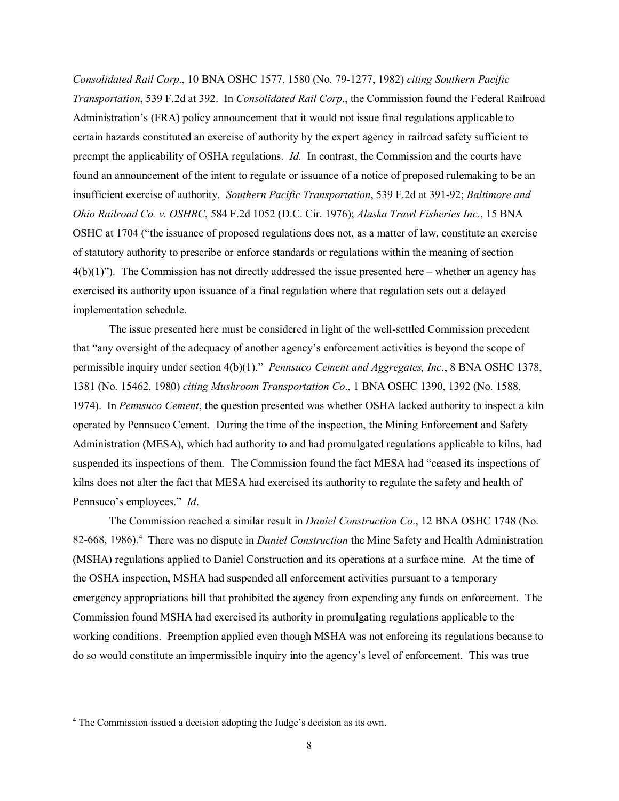*Transportation*, 539 F.2d at 392. In *Consolidated Rail Corp*., the Commission found the Federal Railroad preempt the applicability of OSHA regulations. *Id.* In contrast, the Commission and the courts have found an announcement of the intent to regulate or issuance of a notice of proposed rulemaking to be an insufficient exercise of authority. *Southern Pacific Transportation*, 539 F.2d at 391-92; *Baltimore and Ohio Railroad Co. v. OSHRC*, 584 F.2d 1052 (D.C. Cir. 1976); *Alaska Trawl Fisheries Inc*., 15 BNA of statutory authority to prescribe or enforce standards or regulations within the meaning of section *Consolidated Rail Corp*., 10 BNA OSHC 1577, 1580 (No. 79-1277, 1982) *citing Southern Pacific*  Administration's (FRA) policy announcement that it would not issue final regulations applicable to certain hazards constituted an exercise of authority by the expert agency in railroad safety sufficient to OSHC at 1704 ("the issuance of proposed regulations does not, as a matter of law, constitute an exercise  $4(b)(1)$ "). The Commission has not directly addressed the issue presented here – whether an agency has exercised its authority upon issuance of a final regulation where that regulation sets out a delayed implementation schedule.

 permissible inquiry under section 4(b)(1)." *Pennsuco Cement and Aggregates, Inc*., 8 BNA OSHC 1378, 1974). In *Pennsuco Cement*, the question presented was whether OSHA lacked authority to inspect a kiln operated by Pennsuco Cement. During the time of the inspection, the Mining Enforcement and Safety suspended its inspections of them. The Commission found the fact MESA had "ceased its inspections of The issue presented here must be considered in light of the well-settled Commission precedent that "any oversight of the adequacy of another agency's enforcement activities is beyond the scope of 1381 (No. 15462, 1980) *citing Mushroom Transportation Co*., 1 BNA OSHC 1390, 1392 (No. 1588, Administration (MESA), which had authority to and had promulgated regulations applicable to kilns, had kilns does not alter the fact that MESA had exercised its authority to regulate the safety and health of Pennsuco's employees." *Id*.

82-668, 1986).<sup>[4](#page-7-0)</sup> There was no dispute in *Daniel Construction* the Mine Safety and Health Administration (MSHA) regulations applied to Daniel Construction and its operations at a surface mine. At the time of do so would constitute an impermissible inquiry into the agency's level of enforcement. This was true The Commission reached a similar result in *Daniel Construction Co*., 12 BNA OSHC 1748 (No. the OSHA inspection, MSHA had suspended all enforcement activities pursuant to a temporary emergency appropriations bill that prohibited the agency from expending any funds on enforcement. The Commission found MSHA had exercised its authority in promulgating regulations applicable to the working conditions. Preemption applied even though MSHA was not enforcing its regulations because to

 $\overline{a}$ 

<span id="page-7-0"></span><sup>&</sup>lt;sup>4</sup> The Commission issued a decision adopting the Judge's decision as its own.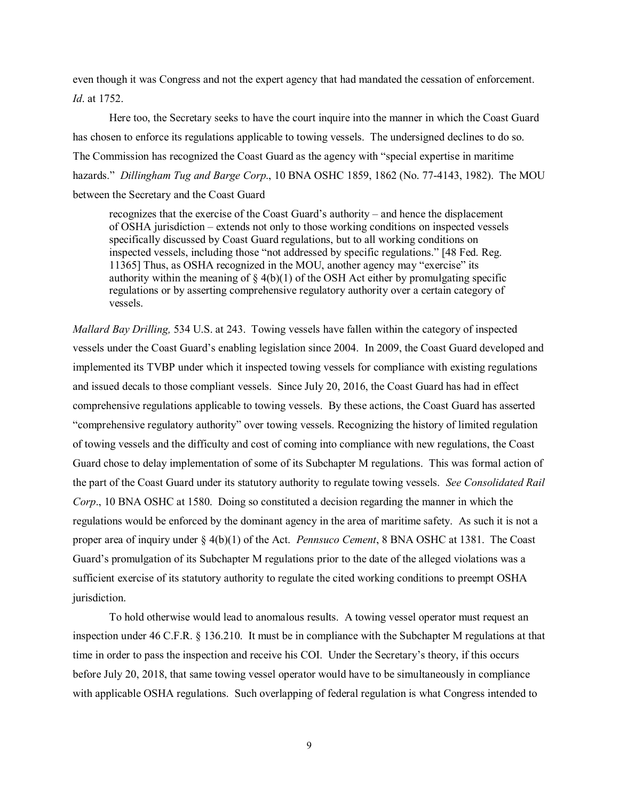even though it was Congress and not the expert agency that had mandated the cessation of enforcement. *Id*. at 1752.

 has chosen to enforce its regulations applicable to towing vessels. The undersigned declines to do so. The Commission has recognized the Coast Guard as the agency with "special expertise in maritime hazards." *Dillingham Tug and Barge Corp*., 10 BNA OSHC 1859, 1862 (No. 77-4143, 1982). The MOU Here too, the Secretary seeks to have the court inquire into the manner in which the Coast Guard between the Secretary and the Coast Guard

 of OSHA jurisdiction – extends not only to those working conditions on inspected vessels 11365] Thus, as OSHA recognized in the MOU, another agency may "exercise" its authority within the meaning of  $\S 4(b)(1)$  of the OSH Act either by promulgating specific recognizes that the exercise of the Coast Guard's authority – and hence the displacement specifically discussed by Coast Guard regulations, but to all working conditions on inspected vessels, including those "not addressed by specific regulations." [48 Fed. Reg. regulations or by asserting comprehensive regulatory authority over a certain category of vessels.

 *Mallard Bay Drilling,* 534 U.S. at 243. Towing vessels have fallen within the category of inspected implemented its TVBP under which it inspected towing vessels for compliance with existing regulations and issued decals to those compliant vessels. Since July 20, 2016, the Coast Guard has had in effect Guard chose to delay implementation of some of its Subchapter M regulations. This was formal action of the part of the Coast Guard under its statutory authority to regulate towing vessels. *See Consolidated Rail Corp*., 10 BNA OSHC at 1580. Doing so constituted a decision regarding the manner in which the proper area of inquiry under § 4(b)(1) of the Act. *Pennsuco Cement*, 8 BNA OSHC at 1381. The Coast Guard's promulgation of its Subchapter M regulations prior to the date of the alleged violations was a sufficient exercise of its statutory authority to regulate the cited working conditions to preempt OSHA vessels under the Coast Guard's enabling legislation since 2004. In 2009, the Coast Guard developed and comprehensive regulations applicable to towing vessels. By these actions, the Coast Guard has asserted "comprehensive regulatory authority" over towing vessels. Recognizing the history of limited regulation of towing vessels and the difficulty and cost of coming into compliance with new regulations, the Coast regulations would be enforced by the dominant agency in the area of maritime safety. As such it is not a jurisdiction.

 time in order to pass the inspection and receive his COI. Under the Secretary's theory, if this occurs before July 20, 2018, that same towing vessel operator would have to be simultaneously in compliance with applicable OSHA regulations. Such overlapping of federal regulation is what Congress intended to To hold otherwise would lead to anomalous results. A towing vessel operator must request an inspection under 46 C.F.R. § 136.210. It must be in compliance with the Subchapter M regulations at that